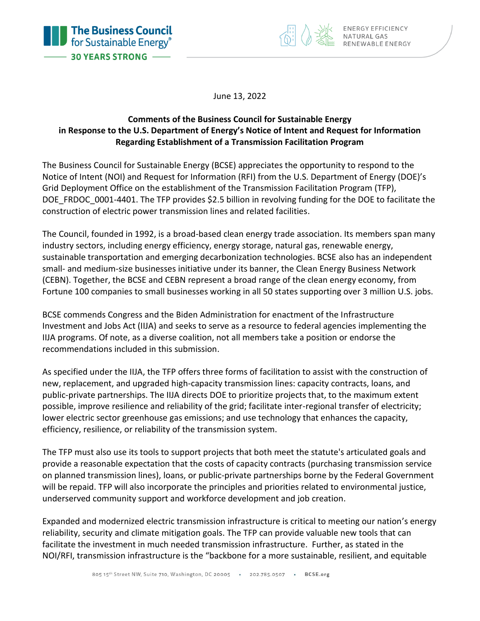



June 13, 2022

### **Comments of the Business Council for Sustainable Energy in Response to the U.S. Department of Energy's Notice of Intent and Request for Information Regarding Establishment of a Transmission Facilitation Program**

The Business Council for Sustainable Energy (BCSE) appreciates the opportunity to respond to the Notice of Intent (NOI) and Request for Information (RFI) from the U.S. Department of Energy (DOE)'s Grid Deployment Office on the establishment of the Transmission Facilitation Program (TFP), DOE\_FRDOC\_0001-4401. The TFP provides \$2.5 billion in revolving funding for the DOE to facilitate the construction of electric power transmission lines and related facilities.

The Council, founded in 1992, is a broad-based clean energy trade association. Its members span many industry sectors, including energy efficiency, energy storage, natural gas, renewable energy, sustainable transportation and emerging decarbonization technologies. BCSE also has an independent small- and medium-size businesses initiative under its banner, the Clean Energy Business Network (CEBN). Together, the BCSE and CEBN represent a broad range of the clean energy economy, from Fortune 100 companies to small businesses working in all 50 states supporting over 3 million U.S. jobs.

BCSE commends Congress and the Biden Administration for enactment of the Infrastructure Investment and Jobs Act (IIJA) and seeks to serve as a resource to federal agencies implementing the IIJA programs. Of note, as a diverse coalition, not all members take a position or endorse the recommendations included in this submission.

As specified under the IIJA, the TFP offers three forms of facilitation to assist with the construction of new, replacement, and upgraded high-capacity transmission lines: capacity contracts, loans, and public-private partnerships. The IIJA directs DOE to prioritize projects that, to the maximum extent possible, improve resilience and reliability of the grid; facilitate inter-regional transfer of electricity; lower electric sector greenhouse gas emissions; and use technology that enhances the capacity, efficiency, resilience, or reliability of the transmission system.

The TFP must also use its tools to support projects that both meet the statute's articulated goals and provide a reasonable expectation that the costs of capacity contracts (purchasing transmission service on planned transmission lines), loans, or public-private partnerships borne by the Federal Government will be repaid. TFP will also incorporate the principles and priorities related to environmental justice, underserved community support and workforce development and job creation.

Expanded and modernized electric transmission infrastructure is critical to meeting our nation's energy reliability, security and climate mitigation goals. The TFP can provide valuable new tools that can facilitate the investment in much needed transmission infrastructure. Further, as stated in the NOI/RFI, transmission infrastructure is the "backbone for a more sustainable, resilient, and equitable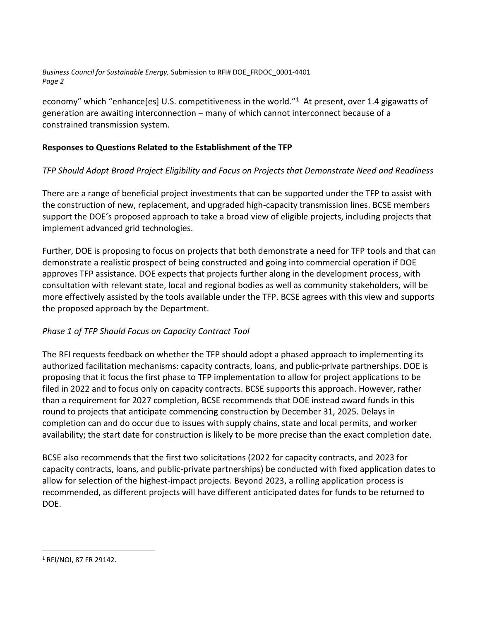*Business Council for Sustainable Energy,* Submission to RFI# DOE\_FRDOC\_0001-4401 *Page 2*

economy" which "enhance[es] U.S. competitiveness in the world."<sup>1</sup> At present, over 1.4 gigawatts of generation are awaiting interconnection – many of which cannot interconnect because of a constrained transmission system.

#### **Responses to Questions Related to the Establishment of the TFP**

#### *TFP Should Adopt Broad Project Eligibility and Focus on Projects that Demonstrate Need and Readiness*

There are a range of beneficial project investments that can be supported under the TFP to assist with the construction of new, replacement, and upgraded high-capacity transmission lines. BCSE members support the DOE's proposed approach to take a broad view of eligible projects, including projects that implement advanced grid technologies.

Further, DOE is proposing to focus on projects that both demonstrate a need for TFP tools and that can demonstrate a realistic prospect of being constructed and going into commercial operation if DOE approves TFP assistance. DOE expects that projects further along in the development process, with consultation with relevant state, local and regional bodies as well as community stakeholders, will be more effectively assisted by the tools available under the TFP. BCSE agrees with this view and supports the proposed approach by the Department.

#### *Phase 1 of TFP Should Focus on Capacity Contract Tool*

The RFI requests feedback on whether the TFP should adopt a phased approach to implementing its authorized facilitation mechanisms: capacity contracts, loans, and public-private partnerships. DOE is proposing that it focus the first phase to TFP implementation to allow for project applications to be filed in 2022 and to focus only on capacity contracts. BCSE supports this approach. However, rather than a requirement for 2027 completion, BCSE recommends that DOE instead award funds in this round to projects that anticipate commencing construction by December 31, 2025. Delays in completion can and do occur due to issues with supply chains, state and local permits, and worker availability; the start date for construction is likely to be more precise than the exact completion date.

BCSE also recommends that the first two solicitations (2022 for capacity contracts, and 2023 for capacity contracts, loans, and public-private partnerships) be conducted with fixed application dates to allow for selection of the highest-impact projects. Beyond 2023, a rolling application process is recommended, as different projects will have different anticipated dates for funds to be returned to DOE.

<sup>1</sup> RFI/NOI, 87 FR 29142.